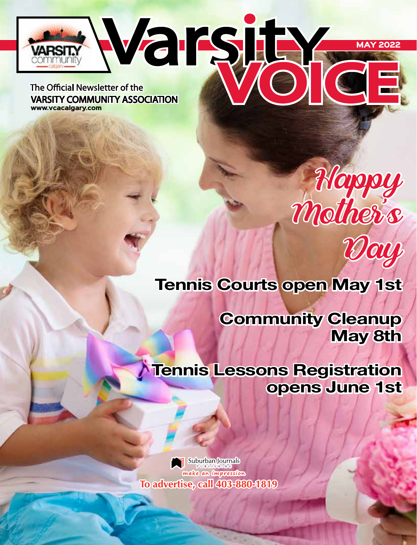

The Official Newsletter of the **VARSITY COMMUNITY ASSOCIATION** www.vcacalgary.com

# Happy Mother's Day

# Tennis Courts open May 1st

Community Cleanup May 8th

Tennis Lessons Registration opens June 1st

Suburban Journals make an impression To advertise, call 403-880-1819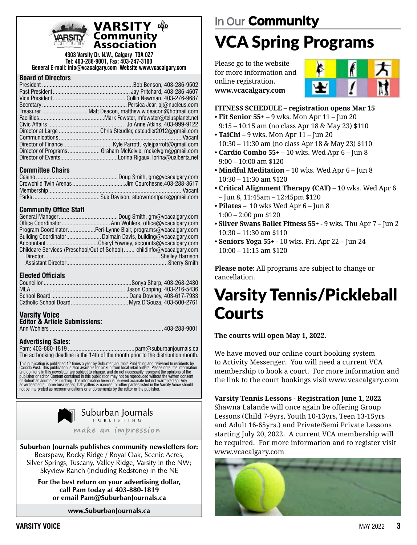

### VARSITY  $\mathbf{B}\mathbf{B}$

**4303 Varsity Dr. N.W., Calgary T3A 0Z7 Tel: 403-288-9001, Fax: 403-247-3100 General E-mail: info@vcacalgary.com Website www.vcacalgary.com**

#### **Board of Directors**

| Director at Large Chris Steudler, csteudler2012@gmail.com |
|-----------------------------------------------------------|
|                                                           |
|                                                           |
| Director of Programs Graham McKelvie, mckelvgm@gmail.com  |
|                                                           |

#### **Committee Chairs**

#### **Community Office Staff**

| Program CoordinatorPeri-Lynne Blair, programs@vcacalgary.com          |
|-----------------------------------------------------------------------|
|                                                                       |
|                                                                       |
| Childcare Services (Preschool/Out of School) childinfo@vcacalgary.com |
|                                                                       |
|                                                                       |

#### **Elected Officials**

#### **Varsity Voice**

| <b>Editor &amp; Article Submissions:</b> |  |
|------------------------------------------|--|
|                                          |  |

#### **Advertising Sales:**

Pam: 403-880-1819 ............................................ pam@suburbanjournals.ca The ad booking deadline is the 14th of the month prior to the distribution month.

This publication is published 12 times a year by Suburban Journals Publishing and delivered to residents by<br>Canada Post. This publication is also available for pickup from local retail outlets. Please note: the information



Suburban Journals publishes community newsletters for: Bearspaw, Rocky Ridge / Royal Oak, Scenic Acres, Silver Springs, Tuscany, Valley Ridge, Varsity in the NW; Skyview Ranch (including Redstone) in the NE

For the best return on your advertising dollar, call Pam today at 403-880-1819 or email Pam@SuburbanJournals.ca

www.SuburbanJournals.ca

# **In Our** Community VCA Spring Programs

Please go to the website for more information and online registration. **www.vcacalgary.com**



#### **FITNESS SCHEDULE – registration opens Mar 15**

- **Fit Senior 55+**  9 wks. Mon Apr 11 Jun 20 9:15 – 10:15 am (no class Apr 18 & May 23) \$110
- **TaiChi**  9 wks. Mon Apr 11 Jun 20 10:30 – 11:30 am (no class Apr 18 & May 23) \$110
- **Cardio Combo 55+** 10 wks. Wed Apr 6 Jun 8 9:00 – 10:00 am \$120
- **Mindful Meditation** 10 wks. Wed Apr 6 Jun 8 10:30 – 11:30 am \$120
- **Critical Alignment Therapy (CAT)**  10 wks. Wed Apr 6 – Jun 8, 11:45am – 12:45pm \$120
- **Pilates** 10 wks Wed Apr 6 Jun 8 1:00 – 2:00 pm \$120
- **Silver Swans Ballet Fitness 55+** 9 wks. Thu Apr 7 Jun 2 10:30 – 11:30 am \$110
- **Seniors Yoga 55+** 10 wks. Fri. Apr 22 Jun 24 10:00 – 11:15 am \$120

**Please note:** All programs are subject to change or cancellation.

# Varsity Tennis/Pickleball **Courts**

**The courts will open May 1, 2022.**

We have moved our online court booking system to Activity Messenger. You will need a current VCA membership to book a court. For more information and the link to the court bookings visit www.vcacalgary.com

**Varsity Tennis Lessons - Registration June 1, 2022**

Shawna Lalande will once again be offering Group Lessons (Child 7-9yrs, Youth 10-13yrs, Teen 13-15yrs and Adult 16-65yrs.) and Private/Semi Private Lessons starting July 20, 2022. A current VCA membership will be required. For more information and to register visit www.vcacalgary.com

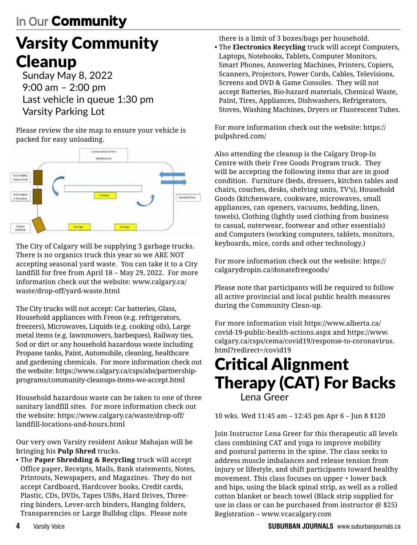# Varsity Community Cleanup

Sunday May 8, 2022 9:00 am – 2:00 pm Last vehicle in queue 1:30 pm Varsity Parking Lot

Please review the site map to ensure your vehicle is packed for easy unloading.



The City of Calgary will be supplying 3 garbage trucks. There is no organics truck this year so we ARE NOT accepting seasonal yard waste. You can take it to a City landfill for free from April 18 – May 29, 2022. For more information check out the website: www.calgary.ca/ waste/drop-off/yard-waste.html

The City trucks will not accept: Car batteries, Glass, Household appliances with Freon (e.g. refrigerators, freezers), Microwaves, Liquids (e.g. cooking oils), Large metal items (e.g. lawnmowers, barbeques), Railway ties, Sod or dirt or any household hazardous waste including Propane tanks, Paint, Automobile, cleaning, healthcare and gardening chemicals. For more information check out the website: https://www.calgary.ca/csps/abs/partnershipprograms/community-cleanups-items-we-accept.html

Household hazardous waste can be taken to one of three sanitary landfill sites. For more information check out the website: https://www.calgary.ca/waste/drop-off/ landfill-locations-and-hours.html

Our very own Varsity resident Ankur Mahajan will be bringing his **Pulp Shred** trucks.

• The **Paper Shredding & Recycling** truck will accept Office paper, Receipts, Mails, Bank statements, Notes, Printouts, Newspapers, and Magazines. They do not accept Cardboard, Hardcover books, Credit cards, Plastic, CDs, DVDs, Tapes USBs, Hard Drives, Threering binders, Lever-arch binders, Hanging folders, Transparencies or Large Bulldog clips. Please note

there is a limit of 3 boxes/bags per household.

• The **Electronics Recycling** truck will accept Computers, Laptops, Notebooks, Tablets, Computer Monitors, Smart Phones, Answering Machines, Printers, Copiers, Scanners, Projectors, Power Cords, Cables, Televisions, Screens and DVD & Game Consoles. They will not accept Batteries, Bio-hazard materials, Chemical Waste, Paint, Tires, Appliances, Dishwashers, Refrigerators, Stoves, Washing Machines, Dryers or Fluorescent Tubes.

For more information check out the website: https:// pulpshred.com/

Also attending the cleanup is the Calgary Drop-In Centre with their Free Goods Program truck. They will be accepting the following items that are in good condition. Furniture (beds, dressers, kitchen tables and chairs, couches, desks, shelving units, TV's), Household Goods (kitchenware, cookware, microwaves, small appliances, can openers, vacuums, bedding, linen, towels), Clothing (lightly used clothing from business to casual, outerwear, footwear and other essentials) and Computers (working computers, tablets, monitors, keyboards, mice, cords and other technology.)

For more information check out the website: https:// calgarydropin.ca/donatefreegoods/

Please note that participants will be required to follow all active provincial and local public health measures during the Community Clean-up.

For more information visit https://www.alberta.ca/ covid-19-public-health-actions.aspx and https://www. calgary.ca/csps/cema/covid19/response-to-coronavirus. html?redirect=/covid19

### Critical Alignment Therapy (CAT) For Backs Lena Greer

10 wks. Wed 11:45 am – 12:45 pm Apr 6 – Jun 8 \$120

Join Instructor Lena Greer for this therapeutic all levels class combining CAT and yoga to improve mobility and postural patterns in the spine. The class seeks to address muscle imbalances and release tension from injury or lifestyle, and shift participants toward healthy movement. This class focuses on upper + lower back and hips, using the black spinal strip, as well as a rolled cotton blanket or beach towel (Black strip supplied for use in class or can be purchased from instructor @ \$25) Registration – www.vcacalgary.com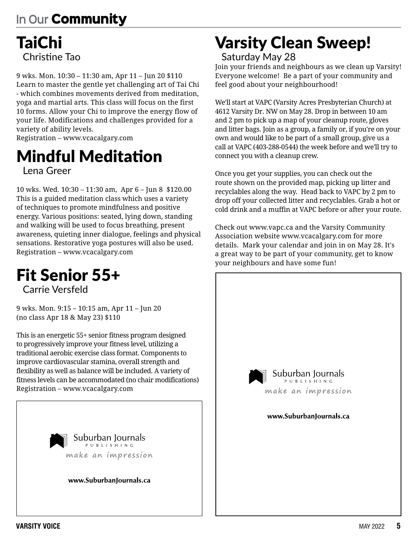### TaiChi Christine Tao

9 wks. Mon. 10:30 – 11:30 am, Apr 11 – Jun 20 \$110 Learn to master the gentle yet challenging art of Tai Chi - which combines movements derived from meditation, yoga and martial arts. This class will focus on the first 10 forms. Allow your Chi to improve the energy flow of your life. Modifications and challenges provided for a variety of ability levels.

Registration – www.vcacalgary.com

### Mindful Meditation Lena Greer

10 wks. Wed. 10:30 – 11:30 am, Apr 6 – Jun 8 \$120.00 This is a guided meditation class which uses a variety of techniques to promote mindfulness and positive energy. Various positions: seated, lying down, standing and walking will be used to focus breathing, present awareness, quieting inner dialogue, feelings and physical sensations. Restorative yoga postures will also be used. Registration – www.vcacalgary.com

# Fit Senior 55+

Carrie Versfeld

9 wks. Mon. 9:15 – 10:15 am, Apr 11 – Jun 20 (no class Apr 18 & May 23) \$110

This is an energetic 55+ senior fitness program designed to progressively improve your fitness level, utilizing a traditional aerobic exercise class format. Components to improve cardiovascular stamina, overall strength and flexibility as well as balance will be included. A variety of fitness levels can be accommodated (no chair modifications) Registration – www.vcacalgary.com



### Varsity Clean Sweep! Saturday May 28

Join your friends and neighbours as we clean up Varsity! Everyone welcome! Be a part of your community and feel good about your neighbourhood!

We'll start at VAPC (Varsity Acres Presbyterian Church) at 4612 Varsity Dr. NW on May 28. Drop in between 10 am and 2 pm to pick up a map of your cleanup route, gloves and litter bags. Join as a group, a family or, if you're on your own and would like to be part of a small group, give us a call at VAPC (403-288-0544) the week before and we'll try to connect you with a cleanup crew.

Once you get your supplies, you can check out the route shown on the provided map, picking up litter and recyclables along the way. Head back to VAPC by 2 pm to drop off your collected litter and recyclables. Grab a hot or cold drink and a muffin at VAPC before or after your route.

Check out www.vapc.ca and the Varsity Community Association website www.vcacalgary.com for more details. Mark your calendar and join in on May 28. It's a great way to be part of your community, get to know your neighbours and have some fun!

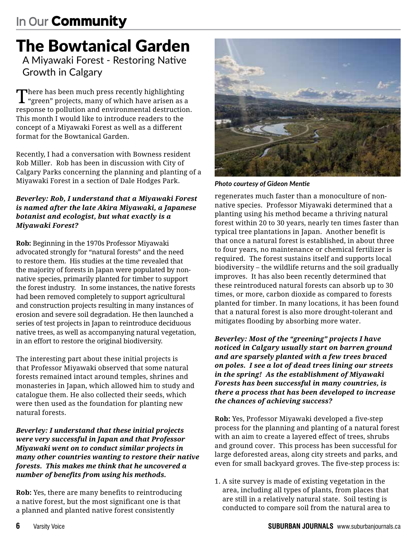# The Bowtanical Garden

A Miyawaki Forest - Restoring Native Growth in Calgary

There has been much press recently highlighting "green" projects, many of which have arisen as a response to pollution and environmental destruction. This month I would like to introduce readers to the concept of a Miyawaki Forest as well as a different format for the Bowtanical Garden.

Recently, I had a conversation with Bowness resident Rob Miller. Rob has been in discussion with City of Calgary Parks concerning the planning and planting of a Miyawaki Forest in a section of Dale Hodges Park.

#### *Beverley: Rob, I understand that a Miyawaki Forest is named after the late Akira Miyawaki, a Japanese botanist and ecologist, but what exactly is a Miyawaki Forest?*

**Rob:** Beginning in the 1970s Professor Miyawaki advocated strongly for "natural forests" and the need to restore them. His studies at the time revealed that the majority of forests in Japan were populated by nonnative species, primarily planted for timber to support the forest industry. In some instances, the native forests had been removed completely to support agricultural and construction projects resulting in many instances of erosion and severe soil degradation. He then launched a series of test projects in Japan to reintroduce deciduous native trees, as well as accompanying natural vegetation, in an effort to restore the original biodiversity.

The interesting part about these initial projects is that Professor Miyawaki observed that some natural forests remained intact around temples, shrines and monasteries in Japan, which allowed him to study and catalogue them. He also collected their seeds, which were then used as the foundation for planting new natural forests.

*Beverley: I understand that these initial projects were very successful in Japan and that Professor Miyawaki went on to conduct similar projects in many other countries wanting to restore their native forests. This makes me think that he uncovered a number of benefits from using his methods.*

**Rob:** Yes, there are many benefits to reintroducing a native forest, but the most significant one is that a planned and planted native forest consistently



*Photo courtesy of Gideon Mentie*

regenerates much faster than a monoculture of nonnative species. Professor Miyawaki determined that a planting using his method became a thriving natural forest within 20 to 30 years, nearly ten times faster than typical tree plantations in Japan. Another benefit is that once a natural forest is established, in about three to four years, no maintenance or chemical fertilizer is required. The forest sustains itself and supports local biodiversity – the wildlife returns and the soil gradually improves. It has also been recently determined that these reintroduced natural forests can absorb up to 30 times, or more, carbon dioxide as compared to forests planted for timber. In many locations, it has been found that a natural forest is also more drought-tolerant and mitigates flooding by absorbing more water.

*Beverley: Most of the "greening" projects I have noticed in Calgary usually start on barren ground and are sparsely planted with a few trees braced on poles. I see a lot of dead trees lining our streets in the spring! As the establishment of Miyawaki Forests has been successful in many countries, is there a process that has been developed to increase the chances of achieving success?*

**Rob:** Yes, Professor Miyawaki developed a five-step process for the planning and planting of a natural forest with an aim to create a layered effect of trees, shrubs and ground cover. This process has been successful for large deforested areas, along city streets and parks, and even for small backyard groves. The five-step process is:

1. A site survey is made of existing vegetation in the area, including all types of plants, from places that are still in a relatively natural state. Soil testing is conducted to compare soil from the natural area to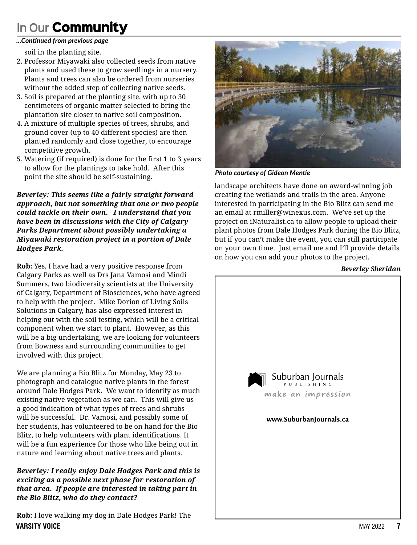#### *...Continued from previous page*

soil in the planting site.

- 2. Professor Miyawaki also collected seeds from native plants and used these to grow seedlings in a nursery. Plants and trees can also be ordered from nurseries without the added step of collecting native seeds.
- 3. Soil is prepared at the planting site, with up to 30 centimeters of organic matter selected to bring the plantation site closer to native soil composition.
- 4. A mixture of multiple species of trees, shrubs, and ground cover (up to 40 different species) are then planted randomly and close together, to encourage competitive growth.
- 5. Watering (if required) is done for the first 1 to 3 years to allow for the plantings to take hold. After this point the site should be self-sustaining.

*Beverley: This seems like a fairly straight forward approach, but not something that one or two people could tackle on their own. I understand that you have been in discussions with the City of Calgary Parks Department about possibly undertaking a Miyawaki restoration project in a portion of Dale Hodges Park.* 

**Rob:** Yes, I have had a very positive response from Calgary Parks as well as Drs Jana Vamosi and Mindi Summers, two biodiversity scientists at the University of Calgary, Department of Biosciences, who have agreed to help with the project. Mike Dorion of Living Soils Solutions in Calgary, has also expressed interest in helping out with the soil testing, which will be a critical component when we start to plant. However, as this will be a big undertaking, we are looking for volunteers from Bowness and surrounding communities to get involved with this project.

We are planning a Bio Blitz for Monday, May 23 to photograph and catalogue native plants in the forest around Dale Hodges Park. We want to identify as much existing native vegetation as we can. This will give us a good indication of what types of trees and shrubs will be successful. Dr. Vamosi, and possibly some of her students, has volunteered to be on hand for the Bio Blitz, to help volunteers with plant identifications. It will be a fun experience for those who like being out in nature and learning about native trees and plants.

*Beverley: I really enjoy Dale Hodges Park and this is exciting as a possible next phase for restoration of that area. If people are interested in taking part in the Bio Blitz, who do they contact?*

**VARSITY VOICE** MAY 2022 **7 Rob:** I love walking my dog in Dale Hodges Park! The



*Photo courtesy of Gideon Mentie*

landscape architects have done an award-winning job creating the wetlands and trails in the area. Anyone interested in participating in the Bio Blitz can send me an email at rmiller@winexus.com. We've set up the project on iNaturalist.ca to allow people to upload their plant photos from Dale Hodges Park during the Bio Blitz, but if you can't make the event, you can still participate on your own time. Just email me and I'll provide details on how you can add your photos to the project.

#### *Beverley Sheridan*

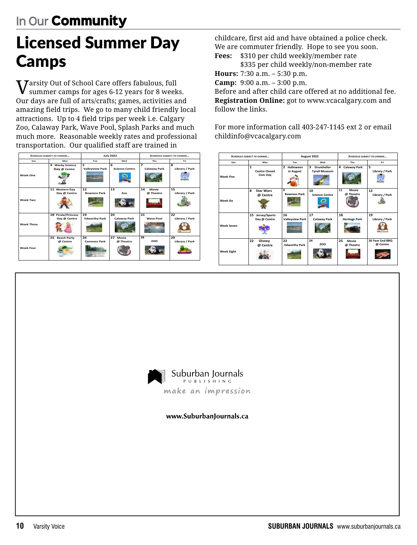# Licensed Summer Day Camps

 $\boldsymbol{V}$ arsity Out of School Care offers fabulous, full summer camps for ages 6-12 years for 8 weeks. Our days are full of arts/crafts; games, activities and amazing field trips. We go to many child friendly local attractions. Up to 4 field trips per week i.e. Calgary Zoo, Calaway Park, Wave Pool, Splash Parks and much much more. Reasonable weekly rates and professional transportation. Our qualified staff are trained in

| <b>SCHEDULE SUBJECT TO CHANGE</b> |                                      | <b>July 2022</b>            |                            | <b>SCHEDULE SUBJECT TO CHANGE</b> |                            |
|-----------------------------------|--------------------------------------|-----------------------------|----------------------------|-----------------------------------|----------------------------|
| Sun                               | Mon                                  | Tue                         | Wed                        | Thu                               | Eri                        |
| Week One                          | 4 Wacky Science<br>Day @ Centre      | 5<br><b>Valleyview Park</b> | 6<br><b>Science Centre</b> | $\overline{z}$<br>Calaway Park    | <b>R</b><br>Library / Park |
| Week Two                          | 11 Western Day<br>Day @ Centre       | 12<br><b>Bowness Park</b>   | 13<br>Zoo                  | 14<br>Movie<br>@ Theatre          | 15<br>Library / Park       |
| <b>Week Three</b>                 | 18 Pirate/Princess<br>Day @ Centre   | 19<br><b>Edworthy Park</b>  | 20<br>Calaway Park         | 21<br><b>Wave Pool</b>            | 22<br>Library / Park       |
| <b>Week Four</b>                  | 25<br><b>Beach Party</b><br>@ Centre | 26<br><b>Canmore Park</b>   | 27<br>Movie<br>@ Theatre   | 28<br>ZOO                         | 29<br>Library / Park       |

childcare, first aid and have obtained a police check. We are commuter friendly. Hope to see you soon. **Fees:** \$310 per child weekly/member rate

\$335 per child weekly/non-member rate **Hours:** 7:30 a.m. – 5:30 p.m.

**Camp:** 9:00 a.m. – 3:00 p.m.

Before and after child care offered at no additional fee. **Registration Online:** got to www.vcacalgary.com and follow the links.

For more information call 403-247-1145 ext 2 or email childinfo@vcacalgary.com





www.SuburbanJournals.ca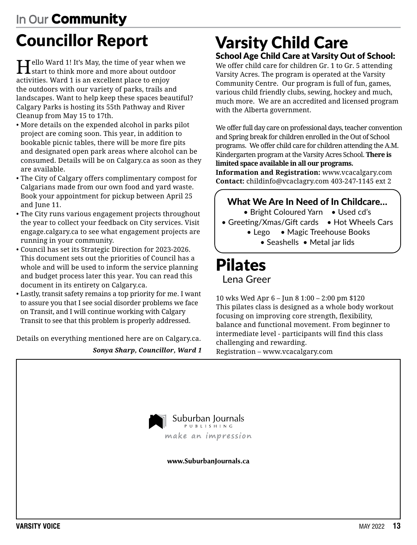# **In Our** Community Councillor Report

 $\mathbf{T}$ ello Ward 1! It's May, the time of year when we  ${\bf 1}$ start to think more and more about outdoor activities. Ward 1 is an excellent place to enjoy the outdoors with our variety of parks, trails and landscapes. Want to help keep these spaces beautiful? Calgary Parks is hosting its 55th Pathway and River Cleanup from May 15 to 17th.

- More details on the expended alcohol in parks pilot project are coming soon. This year, in addition to bookable picnic tables, there will be more fire pits and designated open park areas where alcohol can be consumed. Details will be on Calgary.ca as soon as they are available.
- The City of Calgary offers complimentary compost for Calgarians made from our own food and yard waste. Book your appointment for pickup between April 25 and June 11.
- The City runs various engagement projects throughout the year to collect your feedback on City services. Visit engage.calgary.ca to see what engagement projects are running in your community.
- Council has set its Strategic Direction for 2023-2026. This document sets out the priorities of Council has a whole and will be used to inform the service planning and budget process later this year. You can read this document in its entirety on Calgary.ca.
- Lastly, transit safety remains a top priority for me. I want to assure you that I see social disorder problems we face on Transit, and I will continue working with Calgary Transit to see that this problem is properly addressed.

Details on everything mentioned here are on Calgary.ca.

*Sonya Sharp, Councillor, Ward 1*

### Varsity Child Care School Age Child Care at Varsity Out of School:

We offer child care for children Gr. 1 to Gr. 5 attending Varsity Acres. The program is operated at the Varsity Community Centre. Our program is full of fun, games, various child friendly clubs, sewing, hockey and much, much more. We are an accredited and licensed program with the Alberta government.

We offer full day care on professional days, teacher convention and Spring break for children enrolled in the Out of School programs. We offer child care for children attending the A.M. Kindergarten program at the Varsity Acres School. **There is limited space available in all our programs.**

**Information and Registration:** www.vcacalgary.com **Contact:** childinfo@vcaclagry.com 403-247-1145 ext 2

#### What We Are In Need of In Childcare…

• Bright Coloured Yarn • Used cd's

- Greeting/Xmas/Gift cards Hot Wheels Cars
	- Lego Magic Treehouse Books • Seashells • Metal jar lids

Pilates Lena Greer

10 wks Wed Apr 6 – Jun 8 1:00 – 2:00 pm \$120 This pilates class is designed as a whole body workout focusing on improving core strength, flexibility, balance and functional movement. From beginner to intermediate level - participants will find this class challenging and rewarding.

Registration – www.vcacalgary.com



www.SuburbanJournals.ca